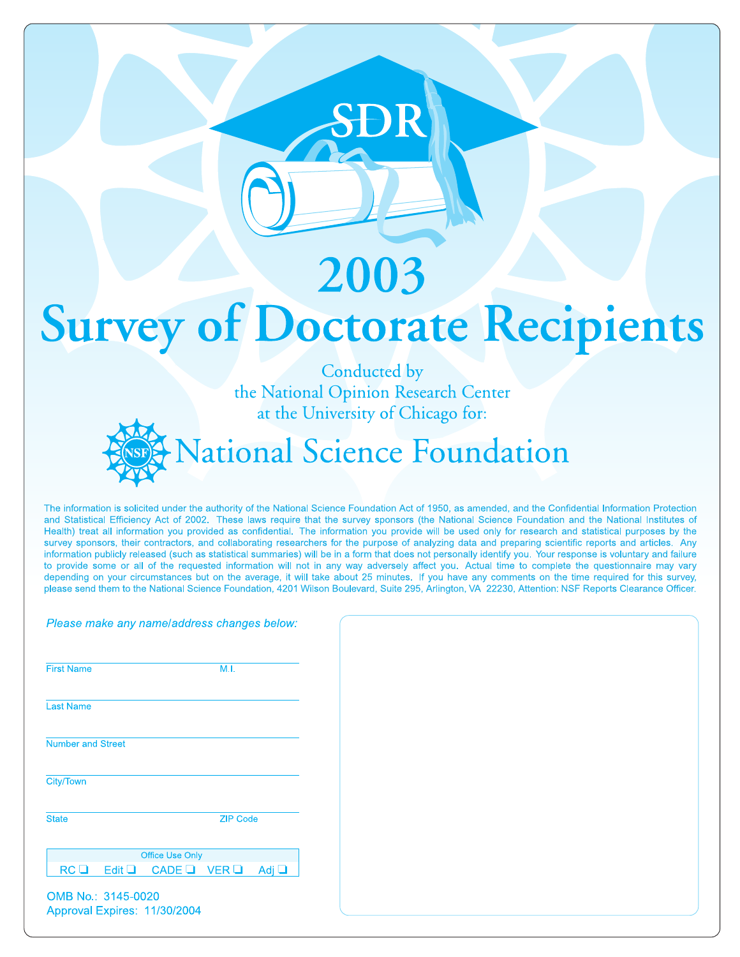# 2003 **Survey of Doctorate Recipients**

Conducted by the National Opinion Research Center at the University of Chicago for:



The information is solicited under the authority of the National Science Foundation Act of 1950, as amended, and the Confidential Information Protection and Statistical Efficiency Act of 2002. These laws require that the survey sponsors (the National Science Foundation and the National Institutes of Health) treat all information you provided as confidential. The information you provide will be used only for research and statistical purposes by the survey sponsors, their contractors, and collaborating researchers for the purpose of analyzing data and preparing scientific reports and articles. Any information publicly released (such as statistical summaries) will be in a form that does not personally identify you. Your response is voluntary and failure to provide some or all of the requested information will not in any way adversely affect you. Actual time to complete the questionnaire may vary depending on your circumstances but on the average, it will take about 25 minutes. If you have any comments on the time required for this survey, please send them to the National Science Foundation, 4201 Wilson Boulevard, Suite 295, Arlington, VA 22230, Attention: NSF Reports Clearance Officer.

| <b>First Name</b>        |             |                        | M.I.            |            |
|--------------------------|-------------|------------------------|-----------------|------------|
| <b>Last Name</b>         |             |                        |                 |            |
| <b>Number and Street</b> |             |                        |                 |            |
| <b>City/Town</b>         |             |                        |                 |            |
| <b>State</b>             |             |                        | <b>ZIP Code</b> |            |
|                          |             | <b>Office Use Only</b> |                 |            |
| RC <sub>1</sub>          | Edit $\Box$ | CADE LIVER LI          |                 | Adj $\Box$ |

|                          |             | Please make any name/address changes below: |                 |            |
|--------------------------|-------------|---------------------------------------------|-----------------|------------|
| <b>First Name</b>        |             |                                             | M.I.            |            |
| <b>Last Name</b>         |             |                                             |                 |            |
| <b>Number and Street</b> |             |                                             |                 |            |
| City/Town                |             |                                             |                 |            |
| <b>State</b>             |             |                                             | <b>ZIP Code</b> |            |
| RC <sub>1</sub>          | Edit $\Box$ | Office Use Only<br>CADE $\Box$ VER $\Box$   |                 | Adj $\Box$ |
| OMB No.: 3145-0020       |             | Approval Expires: 11/30/2004                |                 |            |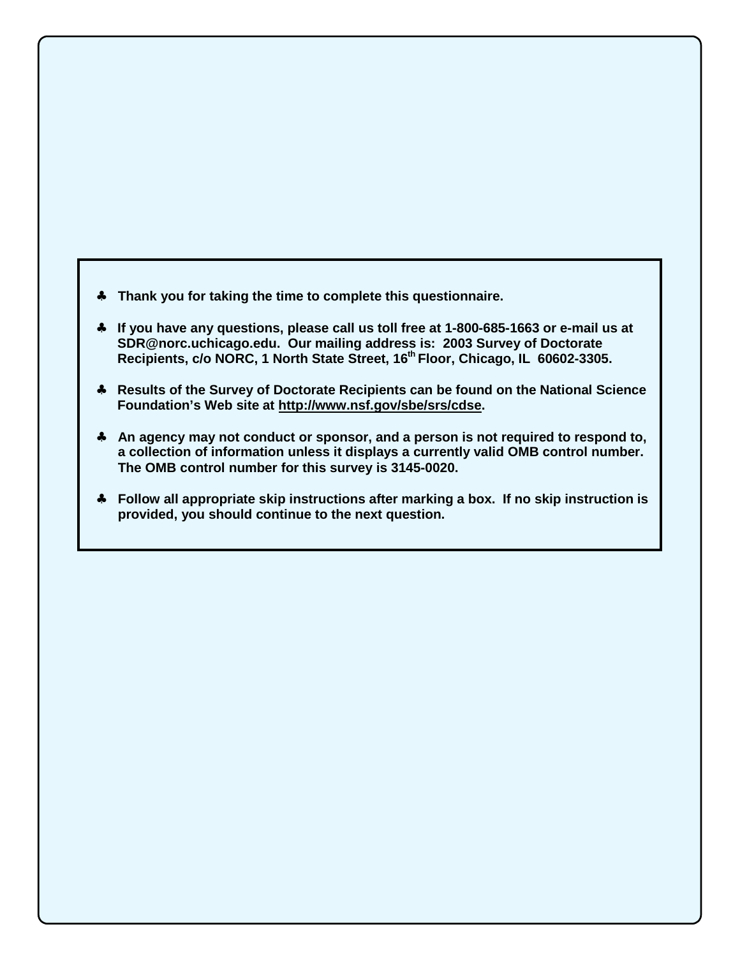- ♣ **Thank you for taking the time to complete this questionnaire.**
- ♣ **If you have any questions, please call us toll free at 1-800-685-1663 or e-mail us at SDR@norc.uchicago.edu. Our mailing address is: 2003 Survey of Doctorate**  Recipients, c/o NORC, 1 North State Street, 16<sup>th</sup> Floor, Chicago, IL 60602-3305.
- ♣ **Results of the Survey of Doctorate Recipients can be found on the National Science Foundation's Web site at http://www.nsf.gov/sbe/srs/cdse.**
- ♣ **An agency may not conduct or sponsor, and a person is not required to respond to, a collection of information unless it displays a currently valid OMB control number. The OMB control number for this survey is 3145-0020.**
- ♣ **Follow all appropriate skip instructions after marking a box. If no skip instruction is provided, you should continue to the next question.**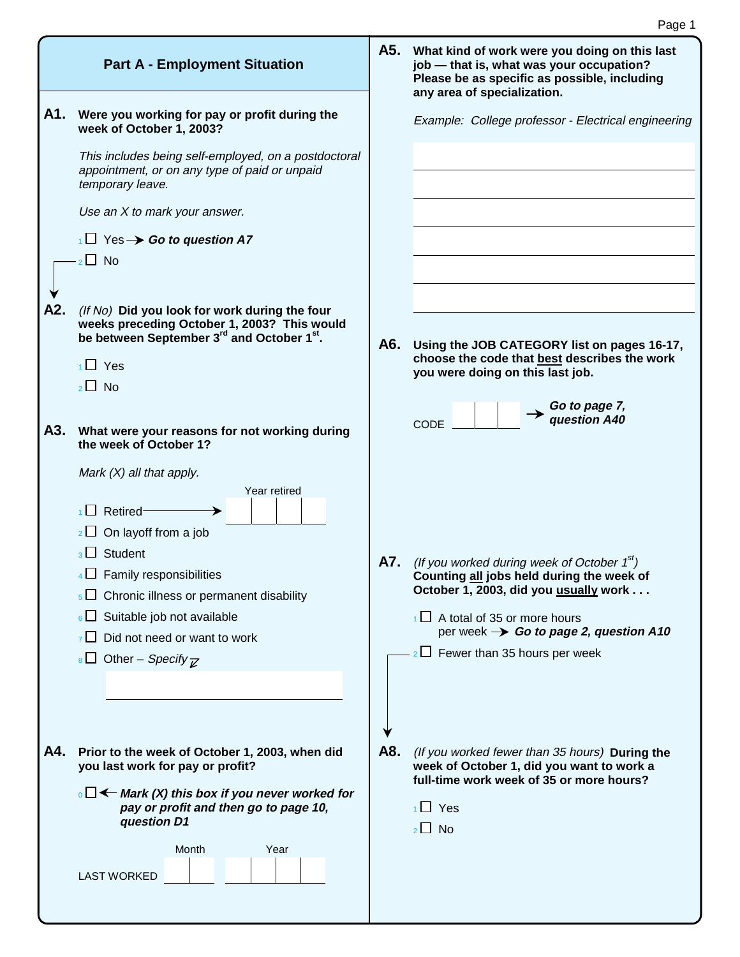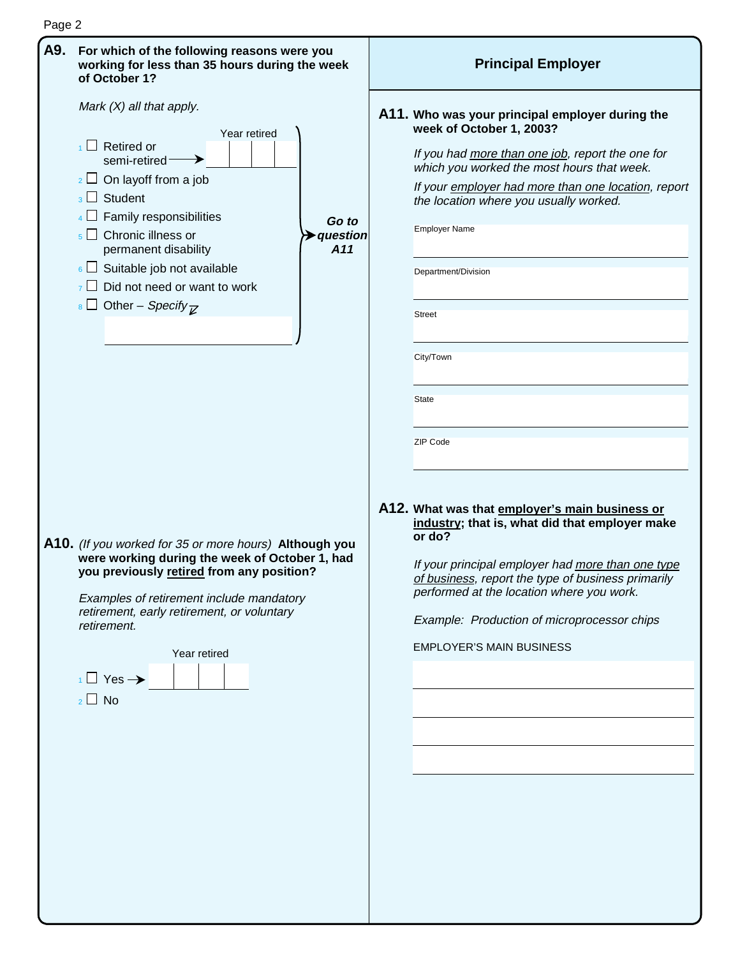

Page 2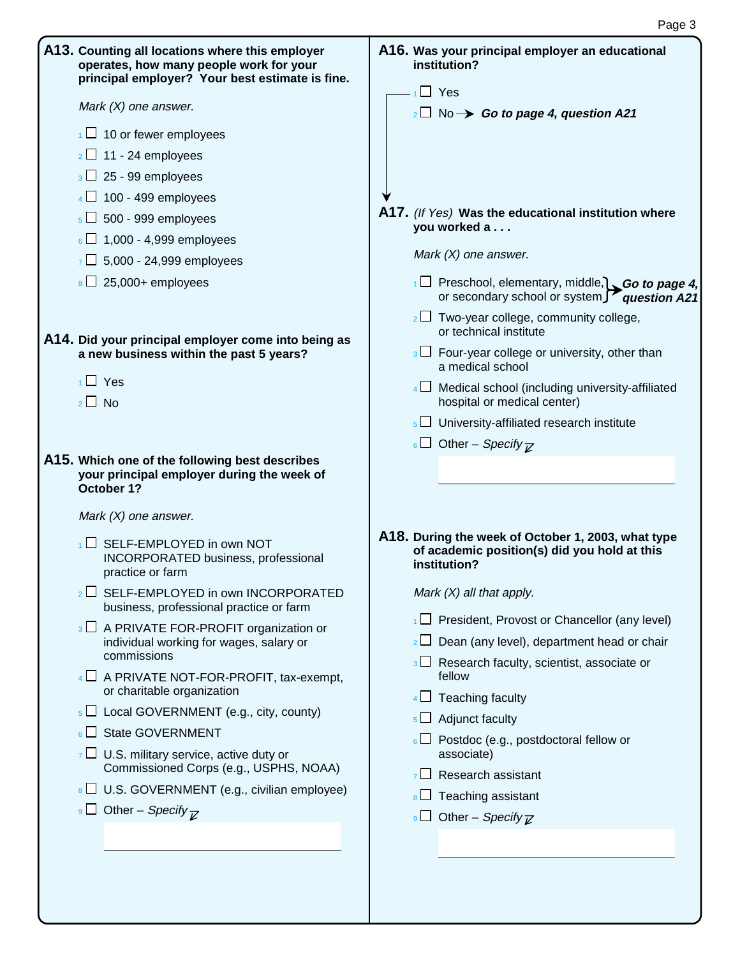| A13. Counting all locations where this employer<br>operates, how many people work for your<br>principal employer? Your best estimate is fine. | A16. Was your principal employer an educational<br>institution?                                                    |
|-----------------------------------------------------------------------------------------------------------------------------------------------|--------------------------------------------------------------------------------------------------------------------|
| Mark $(X)$ one answer.                                                                                                                        | $1 \square$ Yes<br>$_2\Box$ No $\rightarrow$ Go to page 4, question A21                                            |
| $\frac{1}{1}$ 10 or fewer employees                                                                                                           |                                                                                                                    |
| $2 \square$ 11 - 24 employees                                                                                                                 |                                                                                                                    |
| $3 \square$ 25 - 99 employees                                                                                                                 |                                                                                                                    |
| $4 \Box$ 100 - 499 employees                                                                                                                  |                                                                                                                    |
| $5\Box$ 500 - 999 employees                                                                                                                   | A17. (If Yes) Was the educational institution where<br>you worked a                                                |
| $6 \square$ 1,000 - 4,999 employees                                                                                                           |                                                                                                                    |
| $7 \Box$ 5,000 - 24,999 employees                                                                                                             | Mark $(X)$ one answer.                                                                                             |
| $\overline{8}$ 25,000+ employees                                                                                                              | $\Box$ Preschool, elementary, middle, Go to page 4,<br>or secondary school or system $\Box$ question A21           |
| A14. Did your principal employer come into being as                                                                                           | $_2\Box$ Two-year college, community college,<br>or technical institute                                            |
| a new business within the past 5 years?                                                                                                       | $\frac{1}{3}\Box$ Four-year college or university, other than<br>a medical school                                  |
| $\overline{1}$ Yes<br>$2 \Box$ No                                                                                                             | $4 \Box$ Medical school (including university-affiliated<br>hospital or medical center)                            |
|                                                                                                                                               | $\overline{\phantom{a}}$ University-affiliated research institute                                                  |
|                                                                                                                                               | 6 Other – Specify $\overline{z}$                                                                                   |
| A15. Which one of the following best describes                                                                                                |                                                                                                                    |
| your principal employer during the week of<br>October 1?<br>Mark $(X)$ one answer.                                                            |                                                                                                                    |
| $\Box$ SELF-EMPLOYED in own NOT<br><b>INCORPORATED business, professional</b><br>practice or farm                                             | A18. During the week of October 1, 2003, what type<br>of academic position(s) did you hold at this<br>institution? |
| $_2\Box$ SELF-EMPLOYED in own INCORPORATED<br>business, professional practice or farm                                                         | Mark $(X)$ all that apply.                                                                                         |
| $3 \square$ A PRIVATE FOR-PROFIT organization or                                                                                              | $\Box$ President, Provost or Chancellor (any level)                                                                |
| individual working for wages, salary or                                                                                                       | Dean (any level), department head or chair<br>2 <sub>1</sub>                                                       |
| commissions<br>$4 \Box$ A PRIVATE NOT-FOR-PROFIT, tax-exempt,                                                                                 | $3 \Box$ Research faculty, scientist, associate or<br>fellow                                                       |
| or charitable organization                                                                                                                    | $4\Box$ Teaching faculty                                                                                           |
| $\overline{\phantom{a}}$ Local GOVERNMENT (e.g., city, county)                                                                                | $\overline{\phantom{a}}$ Adjunct faculty                                                                           |
| <b>State GOVERNMENT</b><br>$6 \Box$<br>$\overline{Z}$ U.S. military service, active duty or                                                   | $\overline{6}$ Postdoc (e.g., postdoctoral fellow or<br>associate)                                                 |
| Commissioned Corps (e.g., USPHS, NOAA)                                                                                                        | Research assistant<br>$7^{\circ}$                                                                                  |
| $\vert$ U.S. GOVERNMENT (e.g., civilian employee)<br>Other – Specify $\overline{\mathcal{C}}$<br>9 <sub>l</sub>                               | Teaching assistant<br>$8\Box$                                                                                      |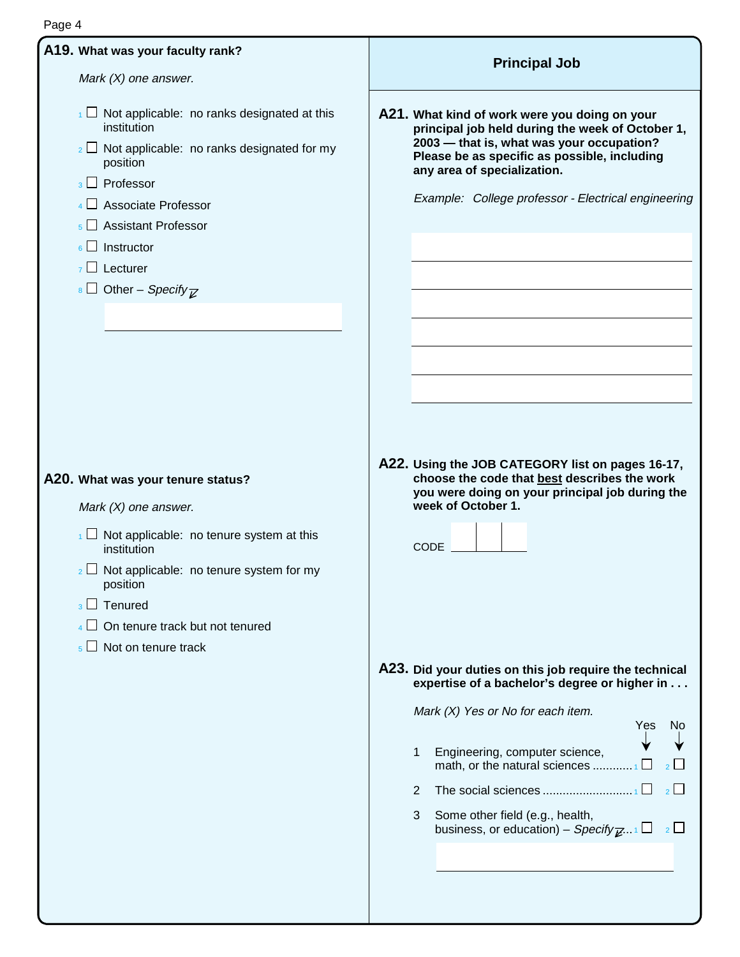### **A19. What was your faculty rank?**  Mark (X) one answer.  $1 \square$  Not applicable: no ranks designated at this institution  $\frac{1}{2}$  Not applicable: no ranks designated for my position  $_3$  Professor  $4 \square$  Associate Professor  $_5$   $\Box$  Assistant Professor  $6 \Box$  Instructor  $7 \Box$  Lecturer  $8 \square$  Other – Specify  $\nabla$ **A20. What was your tenure status?** Mark (X) one answer.  $1 \square$  Not applicable: no tenure system at this institution  $\frac{1}{2}$  Not applicable: no tenure system for my position  $_3$   $\Box$  Tenured  $_4$   $\Box$  On tenure track but not tenured  $5 \square$  Not on tenure track **A21. What kind of work were you doing on your principal job held during the week of October 1, 2003 — that is, what was your occupation? Please be as specific as possible, including any area of specialization.** Example: College professor - Electrical engineering **A22. Using the JOB CATEGORY list on pages 16-17, choose the code that best describes the work you were doing on your principal job during the week of October 1.**  CODE **A23. Did your duties on this job require the technical expertise of a bachelor's degree or higher in . . .**  Mark (X) Yes or No for each item. Yes No 1 Engineering, computer science, math, or the natural sciences ............ <sup>1</sup> <sup>2</sup> 2 The social sciences  $\ldots$  $\ldots$  $\ldots$  $\ldots$  $\ldots$  $\ldots$ 3 Some other field (e.g., health, business, or education) – Specify  $\mathbb{Z}_{n+1} \square$  2  $\square$ **Principal Job**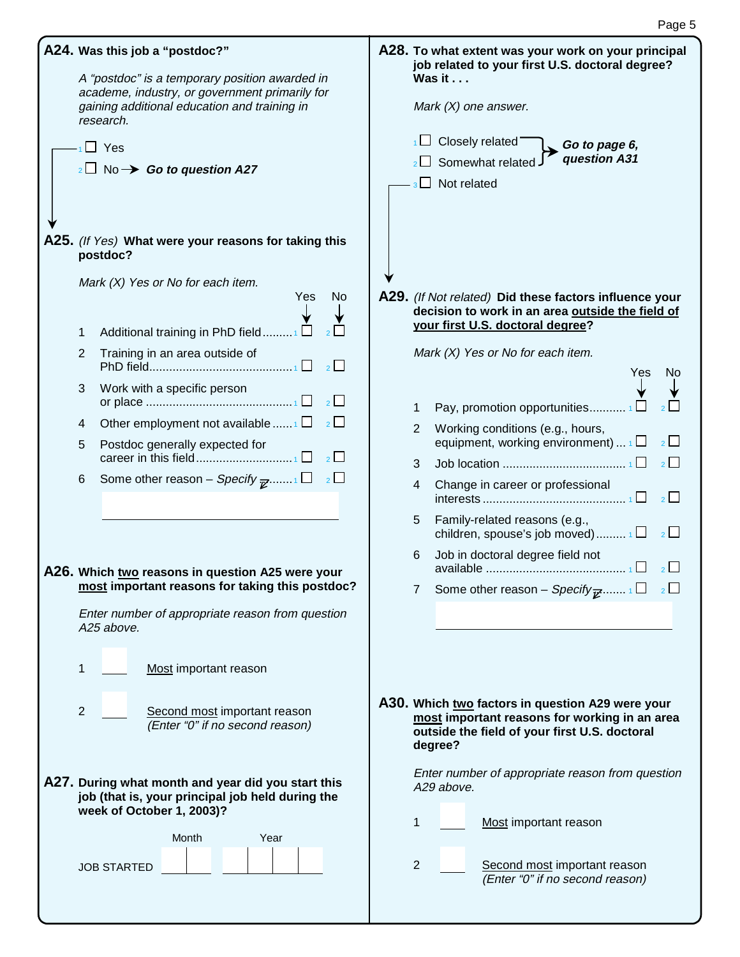| A24. Was this job a "postdoc?"<br>A "postdoc" is a temporary position awarded in<br>academe, industry, or government primarily for<br>gaining additional education and training in<br>research.<br>$\overline{1}$ Yes<br>$_2\square$ No $\rightarrow$ Go to question A27<br>A25. (If Yes) What were your reasons for taking this<br>postdoc?                                                                                                                                                                                                                                                                                                       | A28. To what extent was your work on your principal<br>job related to your first U.S. doctoral degree?<br>Was it<br>Mark $(X)$ one answer.<br>$\Box$ Closely related<br>Go to page 6,<br>question A31<br>$\Box$ Somewhat related<br>$\Box$ Not related                                                                                                                                                                                                                                                                                                                                                                                                                       |
|----------------------------------------------------------------------------------------------------------------------------------------------------------------------------------------------------------------------------------------------------------------------------------------------------------------------------------------------------------------------------------------------------------------------------------------------------------------------------------------------------------------------------------------------------------------------------------------------------------------------------------------------------|------------------------------------------------------------------------------------------------------------------------------------------------------------------------------------------------------------------------------------------------------------------------------------------------------------------------------------------------------------------------------------------------------------------------------------------------------------------------------------------------------------------------------------------------------------------------------------------------------------------------------------------------------------------------------|
| Mark (X) Yes or No for each item.<br>Yes<br>No<br>Additional training in PhD field1 $\square$<br>1<br>Training in an area outside of<br>$\overline{2}$<br>$\overline{2}$<br>Work with a specific person<br>3<br>$\overline{2}$<br>Other employment not available $\Box$<br>$\overline{2}$<br>4<br>Postdoc generally expected for<br>5<br>$\overline{2}$<br>Some other reason – Specify $_{\overline{\mathscr{C}}}$ 1<br>$\overline{2}$<br>6<br>A26. Which two reasons in question A25 were your<br>most important reasons for taking this postdoc?<br>Enter number of appropriate reason from question<br>A25 above.<br>Most important reason<br>1 | A29. (If Not related) Did these factors influence your<br>decision to work in an area outside the field of<br>your first U.S. doctoral degree?<br>Mark (X) Yes or No for each item.<br>Yes<br>No.<br>Pay, promotion opportunities $\Box$<br>1<br>Working conditions (e.g., hours,<br>2<br>equipment, working environment) $\mathbf{1} \square$<br>$\frac{2}{2}$<br>$\overline{2}$<br>3<br>Change in career or professional<br>4<br>$\overline{\phantom{0}}$ 2<br>Family-related reasons (e.g.,<br>5<br>children, spouse's job moved) $1\Box$ $2\Box$<br>Job in doctoral degree field not<br>6<br>$\overline{2}$<br>Some other reason – Specify $\vec{v}$ 1<br>$\overline{7}$ |
| $\overline{2}$<br>Second most important reason<br>(Enter "0" if no second reason)<br>A27. During what month and year did you start this<br>job (that is, your principal job held during the<br>week of October 1, 2003)?<br>Month<br>Year<br><b>JOB STARTED</b>                                                                                                                                                                                                                                                                                                                                                                                    | A30. Which two factors in question A29 were your<br>most important reasons for working in an area<br>outside the field of your first U.S. doctoral<br>degree?<br>Enter number of appropriate reason from question<br>A29 above.<br>Most important reason<br>1<br>$\overline{2}$<br>Second most important reason<br>(Enter "0" if no second reason)                                                                                                                                                                                                                                                                                                                           |

Page 5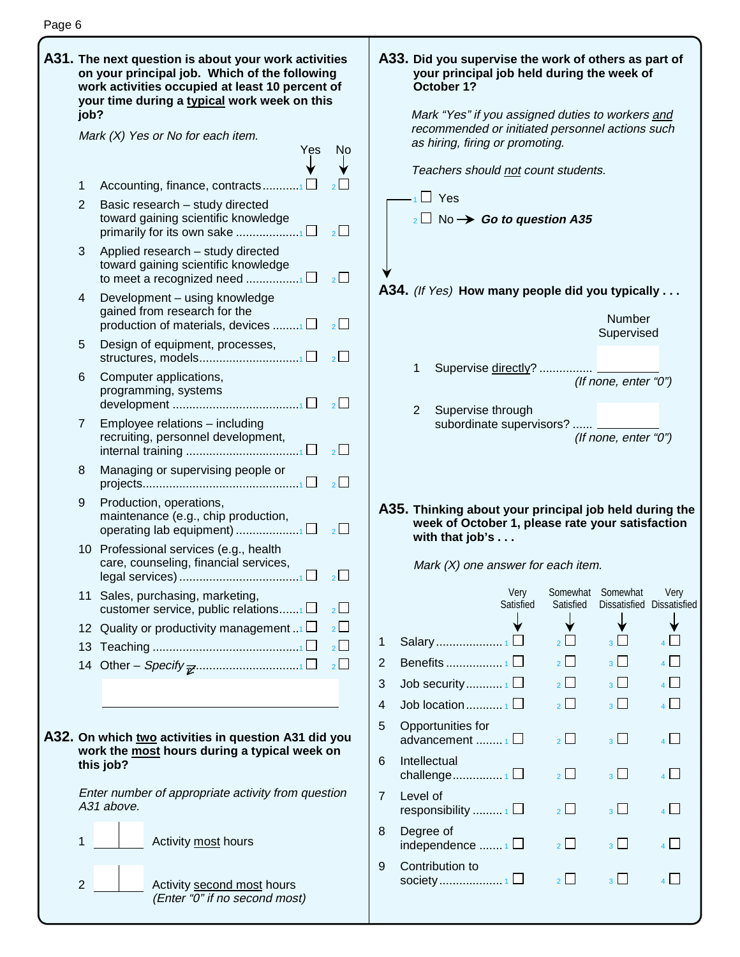| . ( |  |
|-----|--|
|-----|--|

| job?              | A31. The next question is about your work activities<br>on your principal job. Which of the following<br>work activities occupied at least 10 percent of<br>your time during a typical work week on this |                | A33. Did you su<br>your princi<br>October 1?<br>Mark "Yes" |
|-------------------|----------------------------------------------------------------------------------------------------------------------------------------------------------------------------------------------------------|----------------|------------------------------------------------------------|
|                   | Mark $(X)$ Yes or No for each item.<br>Yes<br>No                                                                                                                                                         |                | recommend<br>as hiring, fir                                |
| 1                 | Accounting, finance, contracts1                                                                                                                                                                          |                | Teachers sl                                                |
| $\overline{2}$    | Basic research - study directed<br>toward gaining scientific knowledge<br>$\overline{2}$<br>primarily for its own sake 1 $\square$                                                                       |                | $\cdot$ <sub>1</sub> Yes<br>$_2$ No →                      |
| 3                 | Applied research - study directed<br>toward gaining scientific knowledge<br>$2^{\square}$                                                                                                                |                |                                                            |
| 4                 | Development - using knowledge<br>gained from research for the<br>$\overline{2}$<br>production of materials, devices $\Box$                                                                               |                | A34. (If Yes) Ho                                           |
| 5                 | Design of equipment, processes,<br>$2\Box$                                                                                                                                                               |                |                                                            |
| 6                 | Computer applications,<br>programming, systems<br>$2^{\square}$                                                                                                                                          |                | 1<br>Superv                                                |
| $\overline{7}$    | Employee relations - including<br>recruiting, personnel development,<br>$\overline{2}$                                                                                                                   |                | 2<br>Superv<br>subordi                                     |
| 8                 | Managing or supervising people or<br>$\overline{2}$                                                                                                                                                      |                |                                                            |
| 9                 | Production, operations,<br>maintenance (e.g., chip production,                                                                                                                                           |                | A35. Thinking a<br>week of Oo                              |
|                   | 10 Professional services (e.g., health<br>care, counseling, financial services,<br>$2\Box$                                                                                                               |                | with that jo<br>Mark $(X)$ or                              |
| 11                | Sales, purchasing, marketing,<br>$\overline{2}$<br>customer service, public relations $\Box$                                                                                                             |                |                                                            |
| $12 \overline{ }$ | $\overline{2}$<br>Quality or productivity management                                                                                                                                                     |                |                                                            |
| 13                | $\overline{2}$                                                                                                                                                                                           | 1              | Salary                                                     |
|                   | $\overline{2}$                                                                                                                                                                                           | $\overline{2}$ | Benefits                                                   |
|                   |                                                                                                                                                                                                          | 3              | Job security                                               |
|                   |                                                                                                                                                                                                          | 4<br>5         | Job location<br>Opportunities                              |
|                   | A32. On which two activities in question A31 did you                                                                                                                                                     |                | advancement                                                |
|                   | work the most hours during a typical week on<br>this job?                                                                                                                                                | 6              | Intellectual<br>challenge                                  |
|                   | Enter number of appropriate activity from question<br>A31 above.                                                                                                                                         | 7              | Level of<br>responsibility                                 |
| 1                 | Activity most hours                                                                                                                                                                                      | 8              | Degree of<br>independence                                  |
| $\overline{2}$    | Activity second most hours<br>(Enter "0" if no second most)                                                                                                                                              | 9              | Contribution to<br>society                                 |

### **Phaase the work of others as part of** ipal job held during the week of **October 1?** if you assigned duties to workers and ded or initiated personnel actions such ring or promoting. hould <u>not</u> count students. Go to question A35 **A34.** (If Yes) **How many people did you typically . . .** Number Supervised ise <u>directly</u>? ................. (If none, enter "0") ise through inate supervisors? ...... (If none, enter "0")

#### **A35. Thinking about your principal job held during the week of October 1, please rate your satisfaction what is . . .**

ne answer for each item.

|   |                                                 | Very<br>Satisfied | Somewhat<br>Satisfied | Somewhat<br>Dissatisfied Dissatisfied | Very           |
|---|-------------------------------------------------|-------------------|-----------------------|---------------------------------------|----------------|
|   |                                                 |                   |                       |                                       |                |
| 1 | Salary1                                         |                   | $\overline{2}$        | $3^{\dagger}$                         |                |
| 2 |                                                 |                   | $2^{\vert}$           | 3 <sup>1</sup>                        | 4              |
| 3 | Job security1                                   |                   | $2 \mid$              | 3 <sup>1</sup>                        | 4              |
| 4 |                                                 |                   | $\overline{2}$        | 3 <sup>L</sup>                        | $\overline{A}$ |
| 5 | Opportunities for<br>advancement $_1 \Box$      |                   |                       | 3 <sup>1</sup>                        | 4              |
| 6 | Intellectual<br>challenge1 $\Box$               |                   | $\frac{1}{2}$         | 3 <sup>1</sup>                        | $_4\lfloor$    |
| 7 | Level of<br>responsibility $\mathbf{1} \square$ |                   | $2^{\square}$         | $\overline{\mathbf{a}}$               | $4\lfloor$     |
| 8 | Degree of<br>independence $\frac{1}{1}$         |                   | $\overline{2}$        | 3 <sup>1</sup>                        | $4 \mid$       |
| 9 | Contribution to                                 |                   |                       | Ŕ                                     |                |
|   |                                                 |                   |                       |                                       |                |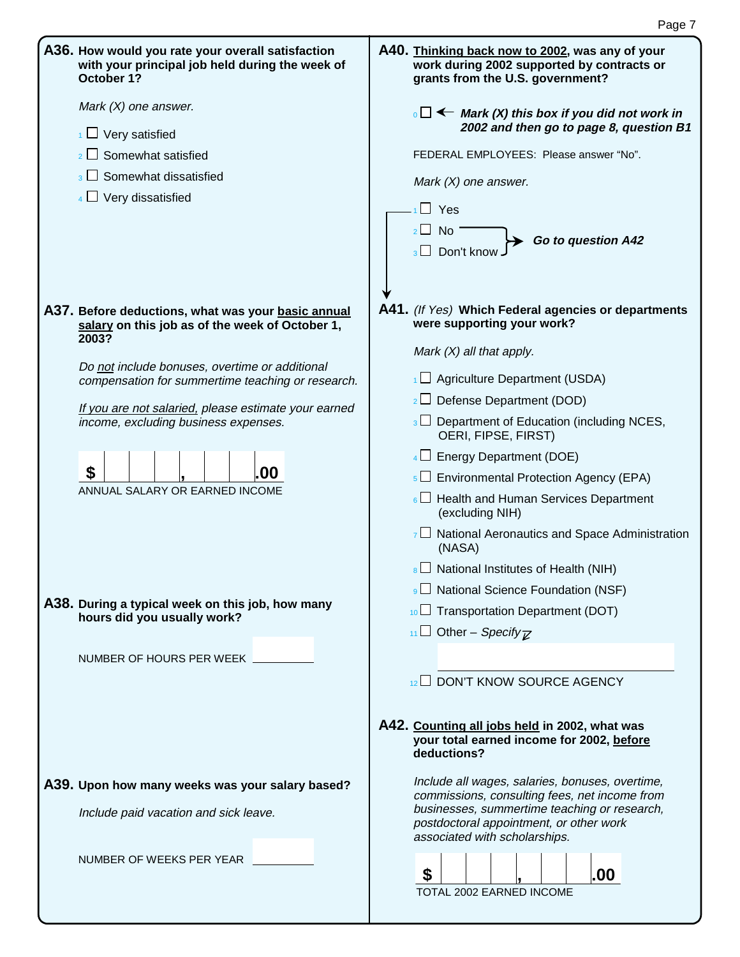| A36. How would you rate your overall satisfaction<br>with your principal job held during the week of<br>October 1?                                                                                                                                                                                                                                                   | A40. Thinking back now to 2002, was any of your<br>work during 2002 supported by contracts or<br>grants from the U.S. government?                                                                                                                                                                                                                                                                                                                                                                                                                                                                               |
|----------------------------------------------------------------------------------------------------------------------------------------------------------------------------------------------------------------------------------------------------------------------------------------------------------------------------------------------------------------------|-----------------------------------------------------------------------------------------------------------------------------------------------------------------------------------------------------------------------------------------------------------------------------------------------------------------------------------------------------------------------------------------------------------------------------------------------------------------------------------------------------------------------------------------------------------------------------------------------------------------|
| Mark $(X)$ one answer.<br>$\frac{1}{1}$ Very satisfied<br>$_2$ Somewhat satisfied                                                                                                                                                                                                                                                                                    | $\overline{\phantom{a}}$ $\Box$ $\leftarrow$ Mark (X) this box if you did not work in<br>2002 and then go to page 8, question B1<br>FEDERAL EMPLOYEES: Please answer "No".                                                                                                                                                                                                                                                                                                                                                                                                                                      |
| Somewhat dissatisfied<br>3 <sup>L</sup><br>$4 \Box$ Very dissatisfied                                                                                                                                                                                                                                                                                                | Mark $(X)$ one answer.<br>$\Box$ Yes<br>$_2\square$ No<br>Go to question A42<br>Don't know                                                                                                                                                                                                                                                                                                                                                                                                                                                                                                                      |
| A37. Before deductions, what was your basic annual<br>salary on this job as of the week of October 1,<br>2003?<br>Do not include bonuses, overtime or additional<br>compensation for summertime teaching or research.<br>If you are not salaried, please estimate your earned<br>income, excluding business expenses.<br>\$<br>.00<br>ANNUAL SALARY OR EARNED INCOME | A41. (If Yes) Which Federal agencies or departments<br>were supporting your work?<br>Mark $(X)$ all that apply.<br>$\Box$ Agriculture Department (USDA)<br>$2 \Box$ Defense Department (DOD)<br>$\frac{1}{3}\Box$ Department of Education (including NCES,<br>OERI, FIPSE, FIRST)<br>$4 \Box$ Energy Department (DOE)<br>$\frac{1}{5}$ Environmental Protection Agency (EPA)<br>$_6\Box$ Health and Human Services Department<br>(excluding NIH)<br>$7 \square$ National Aeronautics and Space Administration<br>(NASA)<br>$\vert$ National Institutes of Health (NIH)<br>9 D National Science Foundation (NSF) |
| A38. During a typical week on this job, how many<br>hours did you usually work?<br>NUMBER OF HOURS PER WEEK                                                                                                                                                                                                                                                          | $10$ Transportation Department (DOT)<br>11 Other – Specify $\overline{\mathbb{Z}}$<br>12 DON'T KNOW SOURCE AGENCY                                                                                                                                                                                                                                                                                                                                                                                                                                                                                               |
|                                                                                                                                                                                                                                                                                                                                                                      | A42. Counting all jobs held in 2002, what was<br>your total earned income for 2002, before<br>deductions?                                                                                                                                                                                                                                                                                                                                                                                                                                                                                                       |
| A39. Upon how many weeks was your salary based?<br>Include paid vacation and sick leave.                                                                                                                                                                                                                                                                             | Include all wages, salaries, bonuses, overtime,<br>commissions, consulting fees, net income from<br>businesses, summertime teaching or research,<br>postdoctoral appointment, or other work<br>associated with scholarships.                                                                                                                                                                                                                                                                                                                                                                                    |
| NUMBER OF WEEKS PER YEAR                                                                                                                                                                                                                                                                                                                                             | \$<br>.00<br>TOTAL 2002 EARNED INCOME                                                                                                                                                                                                                                                                                                                                                                                                                                                                                                                                                                           |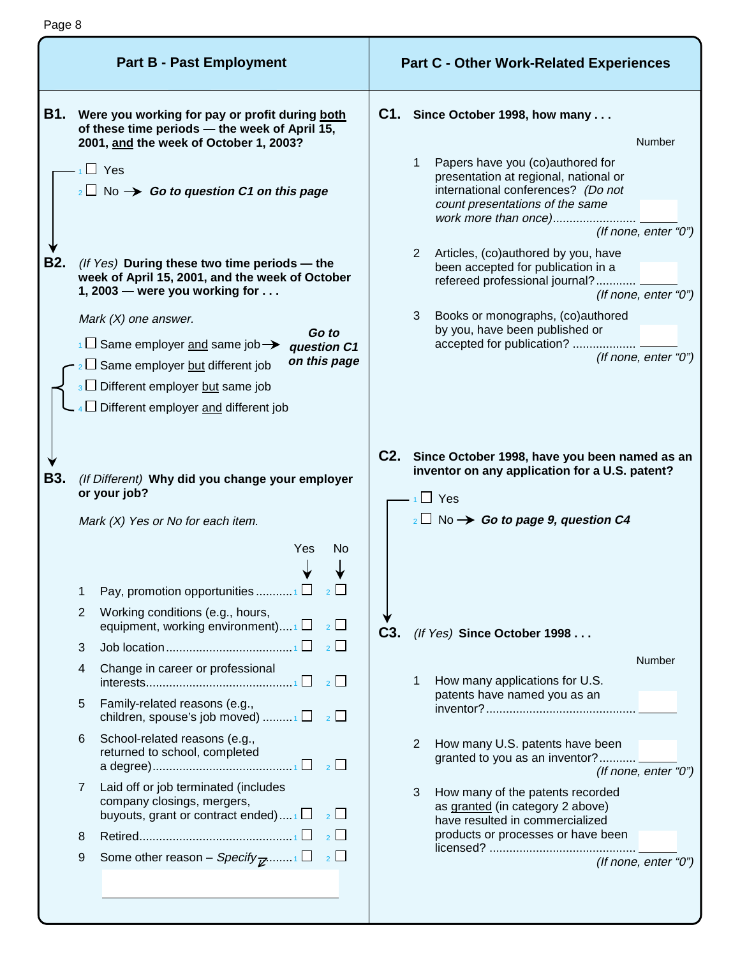| <b>B1.</b><br>Were you working for pay or profit during both<br>of these time periods - the week of April 15,                                                                                                                                                                                                                                                                                                                                                                                                                                                                                                                                      |                                                                                                                                                                                                                                                                                                                                                                                                                                                                                                                                                                                   |
|----------------------------------------------------------------------------------------------------------------------------------------------------------------------------------------------------------------------------------------------------------------------------------------------------------------------------------------------------------------------------------------------------------------------------------------------------------------------------------------------------------------------------------------------------------------------------------------------------------------------------------------------------|-----------------------------------------------------------------------------------------------------------------------------------------------------------------------------------------------------------------------------------------------------------------------------------------------------------------------------------------------------------------------------------------------------------------------------------------------------------------------------------------------------------------------------------------------------------------------------------|
| 2001, and the week of October 1, 2003?<br>$\Box$ Yes<br>$_2\Box$ No $\rightarrow$ Go to question C1 on this page<br><b>B2.</b><br>(If Yes) During these two time periods - the<br>week of April 15, 2001, and the week of October<br>1, 2003 – were you working for $\dots$<br>Mark $(X)$ one answer.<br>Go to<br>$\overline{1}$ Same employer and same job $\rightarrow$<br>question C1<br>on this page<br>$_2 \square$ Same employer but different job<br>$\frac{1}{3}$ Different employer but same job<br>$\sqrt{4}$ Different employer and different job                                                                                       | C1. Since October 1998, how many<br><b>Number</b><br>Papers have you (co)authored for<br>1<br>presentation at regional, national or<br>international conferences? (Do not<br>count presentations of the same<br>work more than once)<br>(If none, enter "0")<br>Articles, (co)authored by you, have<br>$\overline{2}$<br>been accepted for publication in a<br>refereed professional journal?<br>(If none, enter "0")<br>Books or monographs, (co)authored<br>3<br>by you, have been published or<br>accepted for publication?<br>(If none, enter "0")                            |
| B3.<br>(If Different) Why did you change your employer<br>or your job?<br>Mark (X) Yes or No for each item.<br>Yes<br>No<br>Pay, promotion opportunities $\Box$ 2<br>1<br>Working conditions (e.g., hours,<br>2<br>equipment, working environment) $\Box$ 2 $\Box$<br>$\overline{2}$<br>3<br>Change in career or professional<br>4<br>Family-related reasons (e.g.,<br>5<br>children, spouse's job moved) $\Box$ 2<br>School-related reasons (e.g.,<br>6<br>returned to school, completed<br>Laid off or job terminated (includes<br>7<br>company closings, mergers,<br>buyouts, grant or contract ended) $1 \Box$ $2 \Box$<br>$\overline{2}$<br>8 | C2. Since October 1998, have you been named as an<br>inventor on any application for a U.S. patent?<br>$\Box$ Yes<br>$_2 \Box$ No $\rightarrow$ Go to page 9, question C4<br>C <sub>3</sub> .<br>(If Yes) Since October 1998<br>Number<br>How many applications for U.S.<br>patents have named you as an<br>How many U.S. patents have been<br>$\overline{2}$<br>granted to you as an inventor?<br>(If none, enter " $0$ ")<br>3<br>How many of the patents recorded<br>as granted (in category 2 above)<br>have resulted in commercialized<br>products or processes or have been |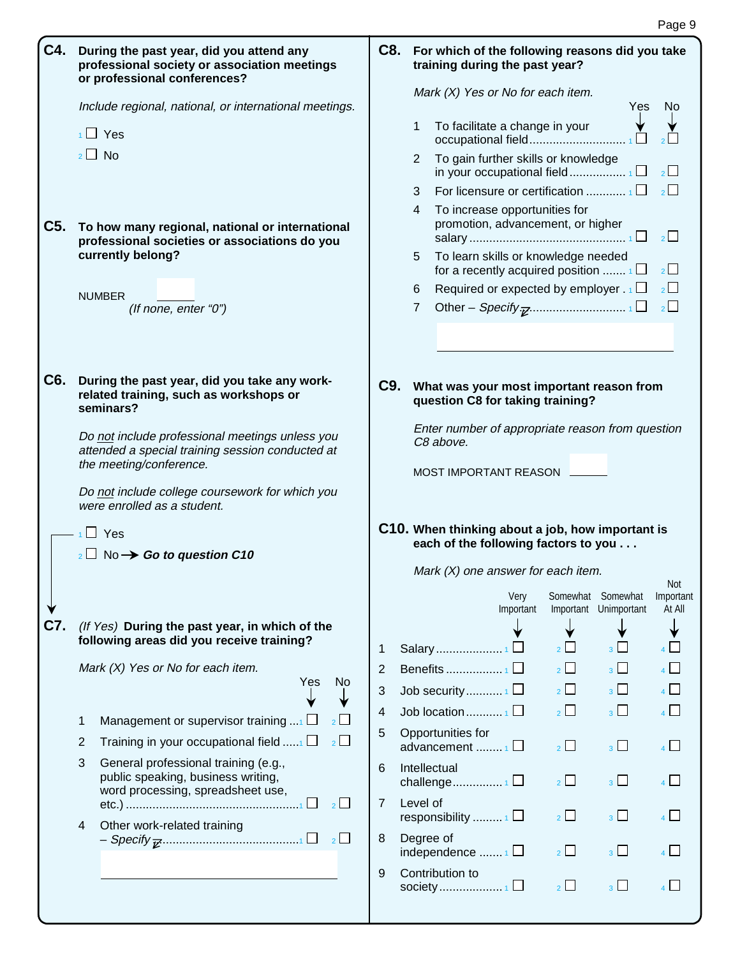| C4. | During the past year, did you attend any<br>professional society or association meetings<br>or professional conferences?       |                                                                                          |                | C8. For which of the following reasons did you take<br>training during the past year?    |                       |                           |                                   |
|-----|--------------------------------------------------------------------------------------------------------------------------------|------------------------------------------------------------------------------------------|----------------|------------------------------------------------------------------------------------------|-----------------------|---------------------------|-----------------------------------|
|     | Include regional, national, or international meetings.                                                                         |                                                                                          |                | Mark $(X)$ Yes or No for each item.                                                      |                       | <b>Yes</b>                | No.                               |
|     | $\frac{1}{1}$ Yes                                                                                                              |                                                                                          | 1              | To facilitate a change in your<br>occupational field                                     |                       |                           |                                   |
|     | $2 \Box$ No                                                                                                                    |                                                                                          | $\mathbf{2}$   | To gain further skills or knowledge                                                      |                       |                           | $\overline{2}$                    |
|     |                                                                                                                                |                                                                                          | 3              |                                                                                          |                       |                           | $\overline{2}$                    |
| C5. | To how many regional, national or international<br>professional societies or associations do you                               |                                                                                          | $\overline{4}$ | To increase opportunities for<br>promotion, advancement, or higher                       |                       |                           | $\overline{2}$                    |
|     | currently belong?                                                                                                              |                                                                                          | 5              | To learn skills or knowledge needed<br>for a recently acquired position $\Box$           |                       |                           | $2\Box$                           |
|     | <b>NUMBER</b>                                                                                                                  |                                                                                          | 6.             | Required or expected by employer $.1$                                                    |                       |                           | $\overline{2}$                    |
|     | (If none, enter "0")                                                                                                           |                                                                                          | 7 <sup>7</sup> |                                                                                          |                       |                           | $\overline{2}$                    |
|     |                                                                                                                                |                                                                                          |                |                                                                                          |                       |                           |                                   |
|     |                                                                                                                                |                                                                                          |                |                                                                                          |                       |                           |                                   |
| C6. | During the past year, did you take any work-<br>related training, such as workshops or<br>seminars?                            |                                                                                          |                | C9. What was your most important reason from<br>question C8 for taking training?         |                       |                           |                                   |
|     | Do not include professional meetings unless you<br>attended a special training session conducted at<br>the meeting/conference. |                                                                                          |                | Enter number of appropriate reason from question<br>C8 above.<br>MOST IMPORTANT REASON L |                       |                           |                                   |
|     | Do not include college coursework for which you<br>were enrolled as a student.                                                 |                                                                                          |                |                                                                                          |                       |                           |                                   |
|     | - <sub>1</sub> □ Yes<br>$_2$ No $\rightarrow$ Go to question C10                                                               | C10. When thinking about a job, how important is<br>each of the following factors to you |                |                                                                                          |                       |                           |                                   |
|     |                                                                                                                                | Mark $(X)$ one answer for each item.                                                     |                |                                                                                          |                       |                           |                                   |
|     |                                                                                                                                |                                                                                          |                | Very<br>Important                                                                        | Somewhat<br>Important | Somewhat<br>Unimportant   | <b>Not</b><br>Important<br>At All |
| C7. | (If Yes) During the past year, in which of the                                                                                 |                                                                                          |                |                                                                                          |                       |                           |                                   |
|     | following areas did you receive training?                                                                                      | 1                                                                                        |                |                                                                                          | $2 \mid$              | $3 \perp$                 | $\overline{4}$                    |
|     | Mark (X) Yes or No for each item.<br>Yes<br>N <sub>o</sub>                                                                     | 2                                                                                        |                |                                                                                          | $\overline{2}$        | 3 <sup>1</sup>            | $\overline{4}$                    |
|     |                                                                                                                                | 3                                                                                        |                | Job security1 $\square$                                                                  |                       | $3 \mid \cdot \cdot \mid$ |                                   |
|     | Management or supervisor training $$ $\Box$<br>$2$ $\Box$<br>1                                                                 | 4                                                                                        |                |                                                                                          | $\overline{2}$        | $3\Box$                   | $\overline{A}$                    |
|     | $\overline{2}$<br>Training in your occupational field $\ldots$ $\Box$<br>2                                                     | 5                                                                                        |                | Opportunities for<br>advancement $\Box$                                                  | $\frac{1}{2}$         | 3 <sup>1</sup>            | $\overline{A}$                    |
|     | 3<br>General professional training (e.g.,<br>public speaking, business writing,<br>word processing, spreadsheet use,           | 6                                                                                        | Intellectual   |                                                                                          | $2 \Box$              | 3 <sup>1</sup>            | $\overline{A}$                    |
|     | 2                                                                                                                              | 7                                                                                        | Level of       | responsibility $\Box$                                                                    | $2 \Box$              | $3\Box$                   | $\overline{4}$                    |
|     | Other work-related training<br>4                                                                                               | 8                                                                                        | Degree of      | independence $\frac{1}{1}$ $\Box$                                                        | $\frac{1}{2}$         | $3$ L I                   |                                   |
|     |                                                                                                                                | 9                                                                                        |                | Contribution to                                                                          | $\overline{2}$        | 3 <sup>L</sup>            |                                   |
|     |                                                                                                                                |                                                                                          |                |                                                                                          |                       |                           |                                   |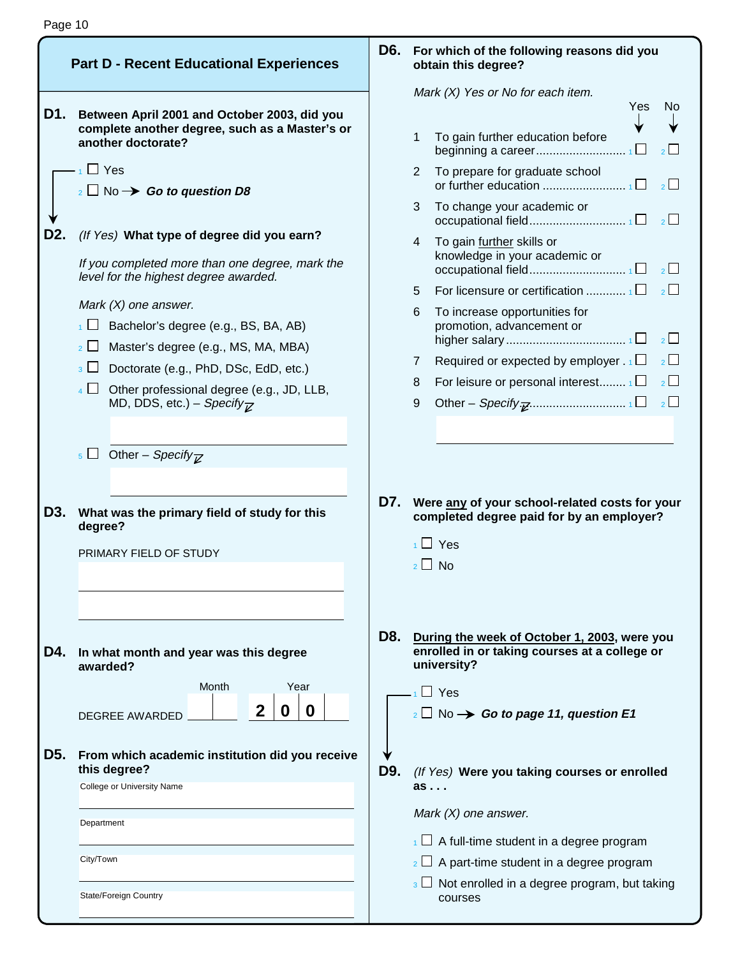|     | <b>Part D - Recent Educational Experiences</b>                                                                       | D6. | For which of the following rea<br>obtain this degree?                                    |
|-----|----------------------------------------------------------------------------------------------------------------------|-----|------------------------------------------------------------------------------------------|
| D1. | Between April 2001 and October 2003, did you                                                                         |     | Mark (X) Yes or No for each iter                                                         |
|     | complete another degree, such as a Master's or<br>another doctorate?                                                 |     | To gain further education be<br>1<br>beginning a career                                  |
|     | $_1$ $\Box$ Yes<br>$_2 \Box$ No $\rightarrow$ Go to question D8                                                      |     | To prepare for graduate sch<br>$\mathbf{2}^{\prime}$<br>or further education             |
|     |                                                                                                                      |     | To change your academic o<br>3<br>occupational field                                     |
| D2. | (If Yes) What type of degree did you earn?<br>If you completed more than one degree, mark the                        |     | To gain further skills or<br>4<br>knowledge in your academi                              |
|     | level for the highest degree awarded.                                                                                |     | occupational field<br>For licensure or certification<br>5                                |
|     | Mark $(X)$ one answer.<br>$\Box$ Bachelor's degree (e.g., BS, BA, AB)                                                |     | To increase opportunities fo<br>6<br>promotion, advancement or                           |
|     | $\overline{2}$ Master's degree (e.g., MS, MA, MBA)<br>$\overline{\mathcal{A}}$ Doctorate (e.g., PhD, DSc, EdD, etc.) |     | higher salary<br>Required or expected by en<br>7                                         |
|     | $\overline{4}$ $\Box$ Other professional degree (e.g., JD, LLB,<br>MD, DDS, etc.) - Specify $\overline{Z}$           |     | For leisure or personal inter<br>8<br>9<br>Other – Specify $\overline{\mathbf{z}}$       |
|     |                                                                                                                      |     |                                                                                          |
|     | $\overline{\phantom{a}}$ Other – Specify <sub>Z</sub>                                                                |     |                                                                                          |
| D3. | What was the primary field of study for this                                                                         | D7. | Were any of your school-relat<br>completed degree paid for by                            |
|     | degree?<br>PRIMARY FIELD OF STUDY                                                                                    |     | $\overline{1}$ Yes                                                                       |
|     |                                                                                                                      |     | $2 \perp$ No                                                                             |
|     |                                                                                                                      | D8. |                                                                                          |
| D4. | In what month and year was this degree<br>awarded?                                                                   |     | During the week of October 1,<br>enrolled in or taking courses<br>university?            |
|     | Month<br>Year<br>$\mathbf{2}$<br>0<br>O<br><b>DEGREE AWARDED</b>                                                     |     | $_1\Box$ Yes<br>$_2$ No $\rightarrow$ Go to page 11, que                                 |
| D5. | From which academic institution did you receive<br>this degree?                                                      | D9. | (If Yes) Were you taking cours                                                           |
|     | College or University Name                                                                                           |     | as<br>Mark $(X)$ one answer.                                                             |
|     | Department                                                                                                           |     | $\Box$ A full-time student in a degr                                                     |
|     | City/Town                                                                                                            |     | $\frac{1}{2}$ A part-time student in a deg<br>$\frac{1}{3}$ Not enrolled in a degree pro |
|     | State/Foreign Country                                                                                                |     | courses                                                                                  |

# **b** isons did you

Mark (X) Yes or No for each item.

|   |                                                            | Yes | No       |
|---|------------------------------------------------------------|-----|----------|
| 1 |                                                            |     |          |
|   | To gain further education before                           |     |          |
| 2 | To prepare for graduate school                             |     |          |
| 3 | To change your academic or                                 |     |          |
| 4 | To gain further skills or<br>knowledge in your academic or |     |          |
| 5 |                                                            |     |          |
| 6 | To increase opportunities for<br>promotion, advancement or |     |          |
|   |                                                            |     |          |
| 7 | Required or expected by employer $\cdot$ 1                 |     | $\sim$ 1 |
| 8 | For leisure or personal interest $\Box$                    |     |          |
| 9 |                                                            |     |          |
|   |                                                            |     |          |

**D7. Were any of your school-related costs for your completed degree paid for by an employer?**

**D8. During the week of October 1, 2003, were you enrolled in or taking courses at a college or** 

**estion E1** 

- **Ses or enrolled** 
	- ree program

gree program

ogram, but taking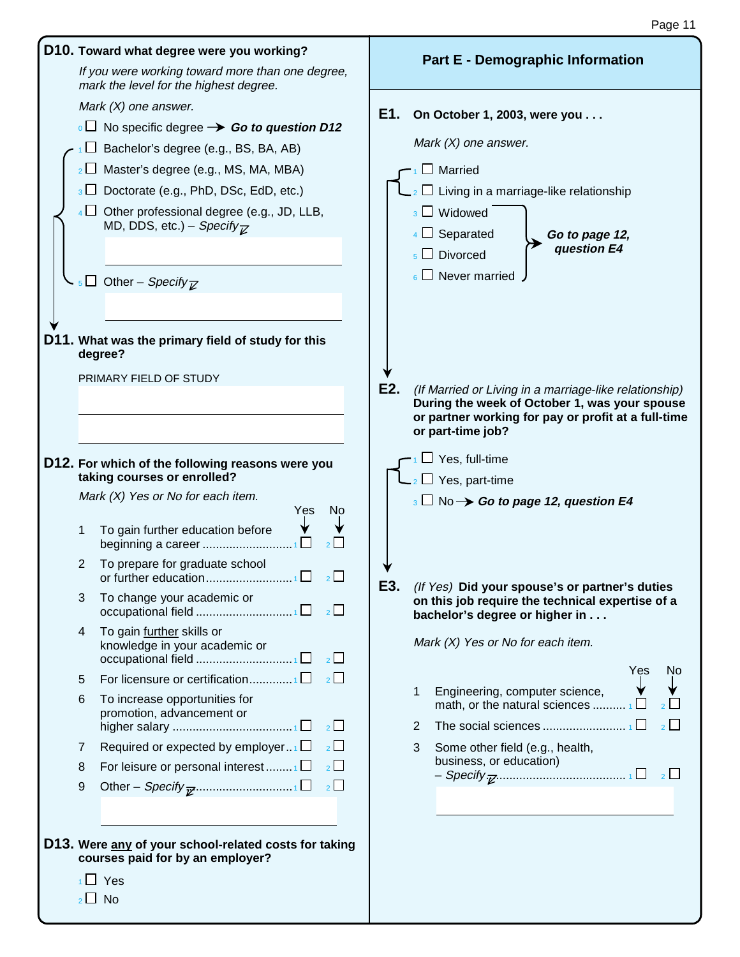| D10. Toward what degree were you working?<br>If you were working toward more than one degree,<br>mark the level for the highest degree.                                                                                                                                                                                                                                                             | <b>Part E - Demographic Information</b>                                                                                                                                                                                                                      |
|-----------------------------------------------------------------------------------------------------------------------------------------------------------------------------------------------------------------------------------------------------------------------------------------------------------------------------------------------------------------------------------------------------|--------------------------------------------------------------------------------------------------------------------------------------------------------------------------------------------------------------------------------------------------------------|
| Mark $(X)$ one answer.<br>$\overline{1}$ No specific degree $\rightarrow$ Go to question D12<br>Bachelor's degree (e.g., BS, BA, AB)<br>Master's degree (e.g., MS, MA, MBA)<br>$2$ $\Box$<br>Doctorate (e.g., PhD, DSc, EdD, etc.)<br>3 <sub>1</sub><br>Other professional degree (e.g., JD, LLB,<br>$4 \Box$<br>MD, DDS, etc.) – Specify $\overline{K}$<br>Other - Specify $\overline{z}$<br>$5-1$ | E1.<br>On October 1, 2003, were you<br>Mark $(X)$ one answer.<br>Married<br>$\Box$ Living in a marriage-like relationship<br>$_3$ $\Box$ Widowed<br>$4 \Box$ Separated<br>Go to page 12,<br>question E4<br>$_5$ $\Box$ Divorced<br>$_6$ $\Box$ Never married |
| D11. What was the primary field of study for this<br>degree?<br>PRIMARY FIELD OF STUDY                                                                                                                                                                                                                                                                                                              | E2.<br>(If Married or Living in a marriage-like relationship)<br>During the week of October 1, was your spouse<br>or partner working for pay or profit at a full-time<br>or part-time job?                                                                   |
| D12. For which of the following reasons were you<br>taking courses or enrolled?<br>Mark $(X)$ Yes or No for each item.<br>Yes<br>No                                                                                                                                                                                                                                                                 | Yes, full-time<br>$\Box$ Yes, part-time<br>$_3 \Box$ No $\rightarrow$ Go to page 12, question E4                                                                                                                                                             |
| To gain further education before<br>1<br>beginning a career<br>To prepare for graduate school<br>2                                                                                                                                                                                                                                                                                                  |                                                                                                                                                                                                                                                              |
| 2<br>3<br>To change your academic or                                                                                                                                                                                                                                                                                                                                                                | E3.<br>(If Yes) Did your spouse's or partner's duties<br>on this job require the technical expertise of a<br>bachelor's degree or higher in                                                                                                                  |
| To gain further skills or<br>4<br>knowledge in your academic or<br>occupational field 1□<br>$\overline{2}$                                                                                                                                                                                                                                                                                          | Mark (X) Yes or No for each item.<br>Yes<br>No                                                                                                                                                                                                               |
| For licensure or certification1<br>$\overline{2}$<br>5<br>6<br>To increase opportunities for<br>promotion, advancement or<br>$2^{\square}$<br>Required or expected by employer<br>$2\Box$<br>7                                                                                                                                                                                                      | Engineering, computer science,<br>1<br>math, or the natural sciences $\Box$<br>$\overline{2}$ $\Box$<br>$\overline{2}$<br>Some other field (e.g., health,<br>3                                                                                               |
| $\overline{2}$<br>For leisure or personal interest $\Box$<br>8<br>$\overline{2}$<br>9                                                                                                                                                                                                                                                                                                               | business, or education)                                                                                                                                                                                                                                      |
| D13. Were any of your school-related costs for taking<br>courses paid for by an employer?<br>$\overline{1}$ Yes<br>$_2\square$ No                                                                                                                                                                                                                                                                   |                                                                                                                                                                                                                                                              |

Page 11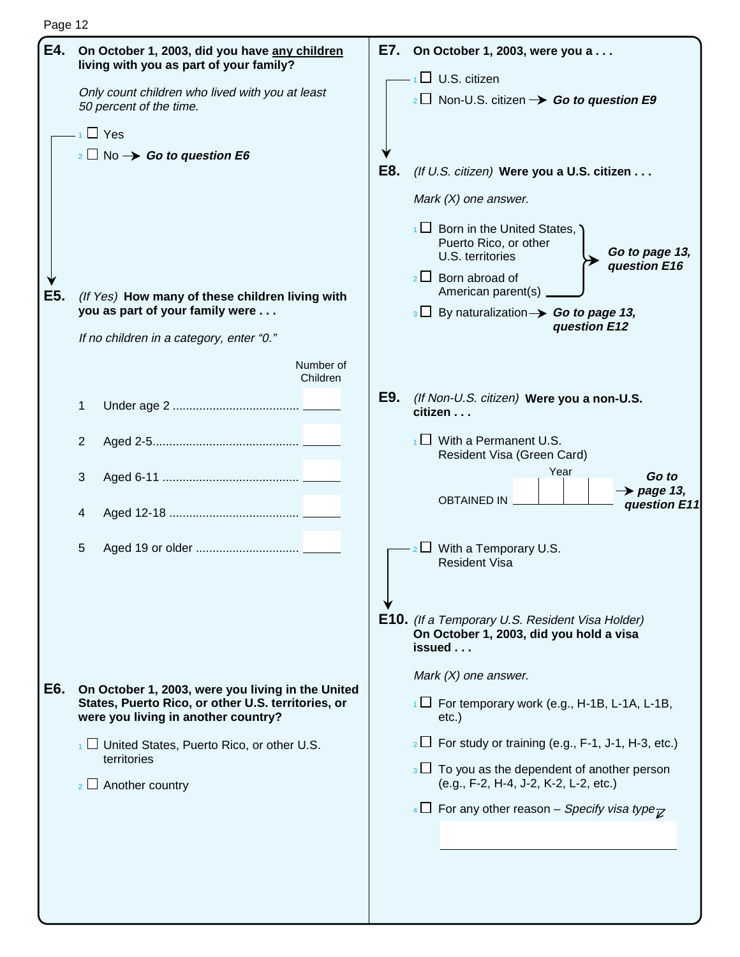Page 12

| E4. | On October 1, 2003, did you have any children<br>living with you as part of your family?                                                       | E7.<br>On October 1, 2003, were you a                                                                            |
|-----|------------------------------------------------------------------------------------------------------------------------------------------------|------------------------------------------------------------------------------------------------------------------|
|     | Only count children who lived with you at least<br>50 percent of the time.                                                                     | $\Box$ U.S. citizen<br>$\frac{1}{2}$ Non-U.S. citizen $\rightarrow$ Go to question E9                            |
|     | $_1$ $\Box$ Yes                                                                                                                                |                                                                                                                  |
|     | $_2 \Box$ No $\rightarrow$ Go to question E6                                                                                                   |                                                                                                                  |
|     |                                                                                                                                                | E8.<br>(If U.S. citizen) Were you a U.S. citizen                                                                 |
|     |                                                                                                                                                | Mark $(X)$ one answer.                                                                                           |
|     |                                                                                                                                                | $\Box$ Born in the United States,<br>Puerto Rico, or other<br>Go to page 13,<br>U.S. territories<br>question E16 |
| E5. | (If Yes) How many of these children living with                                                                                                | $2 \Box$ Born abroad of<br>American parent(s)                                                                    |
|     | you as part of your family were                                                                                                                | $3 \Box$ By naturalization $\rightarrow$ Go to page 13,                                                          |
|     | If no children in a category, enter "0."                                                                                                       | question E12                                                                                                     |
|     | Number of<br>Children                                                                                                                          |                                                                                                                  |
|     | 1                                                                                                                                              | E9.<br>(If Non-U.S. citizen) Were you a non-U.S.<br>citizen                                                      |
|     | 2                                                                                                                                              | $\frac{1}{1}$ With a Permanent U.S.<br>Resident Visa (Green Card)                                                |
|     | 3                                                                                                                                              | Year<br>Go to<br>$\rightarrow$ page 13,                                                                          |
|     | 4                                                                                                                                              | <b>OBTAINED IN</b><br>question E11                                                                               |
|     | 5                                                                                                                                              | With a Temporary U.S.<br><b>Resident Visa</b>                                                                    |
|     |                                                                                                                                                | <b>E10.</b> (If a Temporary U.S. Resident Visa Holder)<br>On October 1, 2003, did you hold a visa<br>issued      |
|     |                                                                                                                                                | Mark $(X)$ one answer.                                                                                           |
| E6. | On October 1, 2003, were you living in the United<br>States, Puerto Rico, or other U.S. territories, or<br>were you living in another country? | $\Box$ For temporary work (e.g., H-1B, L-1A, L-1B,<br>$etc.$ )                                                   |
|     | $\frac{1}{1}$ United States, Puerto Rico, or other U.S.                                                                                        | $_2 \Box$ For study or training (e.g., F-1, J-1, H-3, etc.)                                                      |
|     | territories<br>$\frac{1}{2}$ Another country                                                                                                   | $\frac{1}{3}$ To you as the dependent of another person<br>(e.g., F-2, H-4, J-2, K-2, L-2, etc.)                 |
|     |                                                                                                                                                | $\sqrt{4}$ For any other reason – Specify visa type $\overline{\chi}$                                            |
|     |                                                                                                                                                |                                                                                                                  |
|     |                                                                                                                                                |                                                                                                                  |
|     |                                                                                                                                                |                                                                                                                  |
|     |                                                                                                                                                |                                                                                                                  |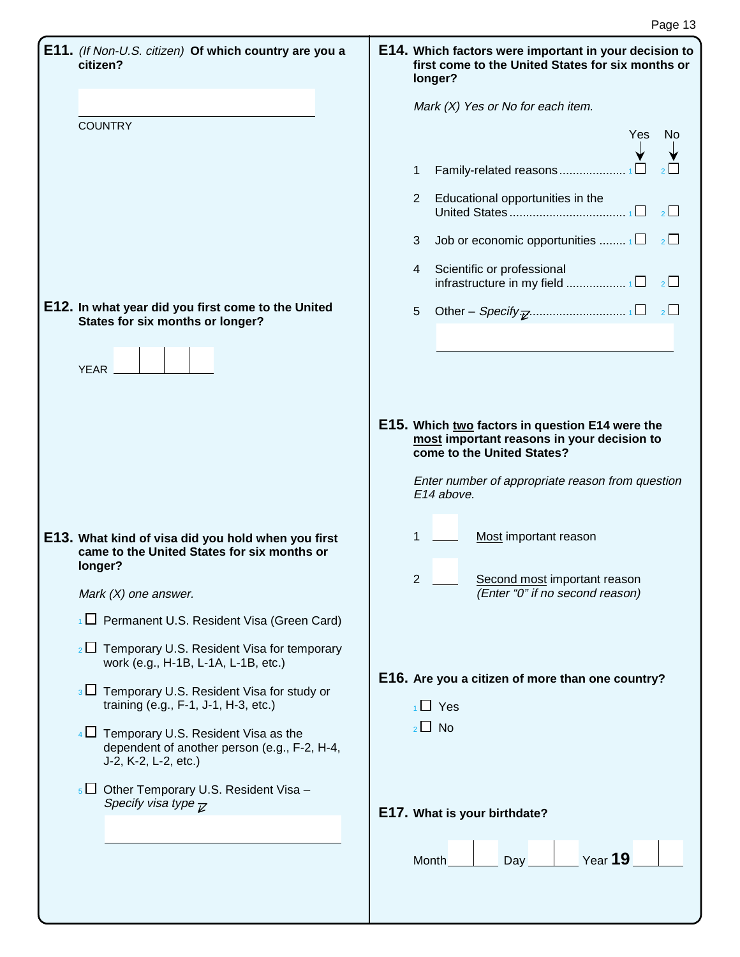| E11. (If Non-U.S. citizen) Of which country are you a<br>citizen?                                                   | E14. Which factors were important in your decision to<br>first come to the United States for six months or<br>longer? |
|---------------------------------------------------------------------------------------------------------------------|-----------------------------------------------------------------------------------------------------------------------|
|                                                                                                                     | Mark (X) Yes or No for each item.                                                                                     |
| <b>COUNTRY</b>                                                                                                      | Yes<br>No                                                                                                             |
|                                                                                                                     |                                                                                                                       |
|                                                                                                                     | Family-related reasons<br>$\mathbf{1}$                                                                                |
|                                                                                                                     | Educational opportunities in the<br>$2^{\circ}$<br>$\overline{2}$                                                     |
|                                                                                                                     | Job or economic opportunities $\Box$<br>3 <sup>7</sup>                                                                |
|                                                                                                                     | 4 Scientific or professional<br>infrastructure in my field 1 $\square$<br>2                                           |
| E12. In what year did you first come to the United<br>States for six months or longer?                              | 5                                                                                                                     |
|                                                                                                                     |                                                                                                                       |
| YEAR _                                                                                                              |                                                                                                                       |
|                                                                                                                     |                                                                                                                       |
|                                                                                                                     | E15. Which two factors in question E14 were the                                                                       |
|                                                                                                                     | most important reasons in your decision to<br>come to the United States?                                              |
|                                                                                                                     | Enter number of appropriate reason from question                                                                      |
|                                                                                                                     | E14 above.                                                                                                            |
|                                                                                                                     |                                                                                                                       |
| E13. What kind of visa did you hold when you first<br>came to the United States for six months or                   | 1<br>Most important reason                                                                                            |
| longer?                                                                                                             |                                                                                                                       |
| Mark $(X)$ one answer.                                                                                              | $\overline{2}$<br>Second most important reason<br>(Enter "0" if no second reason)                                     |
| $\frac{1}{1}$ Permanent U.S. Resident Visa (Green Card)                                                             |                                                                                                                       |
| $_2\Box$ Temporary U.S. Resident Visa for temporary<br>work (e.g., H-1B, L-1A, L-1B, etc.)                          | E16. Are you a citizen of more than one country?                                                                      |
| $\overline{\mathcal{E}}$ Temporary U.S. Resident Visa for study or<br>training (e.g., F-1, J-1, H-3, etc.)          | $\overline{1}$ Yes                                                                                                    |
| $4\Box$ Temporary U.S. Resident Visa as the<br>dependent of another person (e.g., F-2, H-4,<br>J-2, K-2, L-2, etc.) | $2 \Box$ No                                                                                                           |
| $\overline{5}$ U Other Temporary U.S. Resident Visa –                                                               |                                                                                                                       |
| Specify visa type $\overline{\kappa}$                                                                               | E17. What is your birthdate?                                                                                          |
|                                                                                                                     |                                                                                                                       |
|                                                                                                                     | Year 19<br>Month<br>Day                                                                                               |
|                                                                                                                     |                                                                                                                       |
|                                                                                                                     |                                                                                                                       |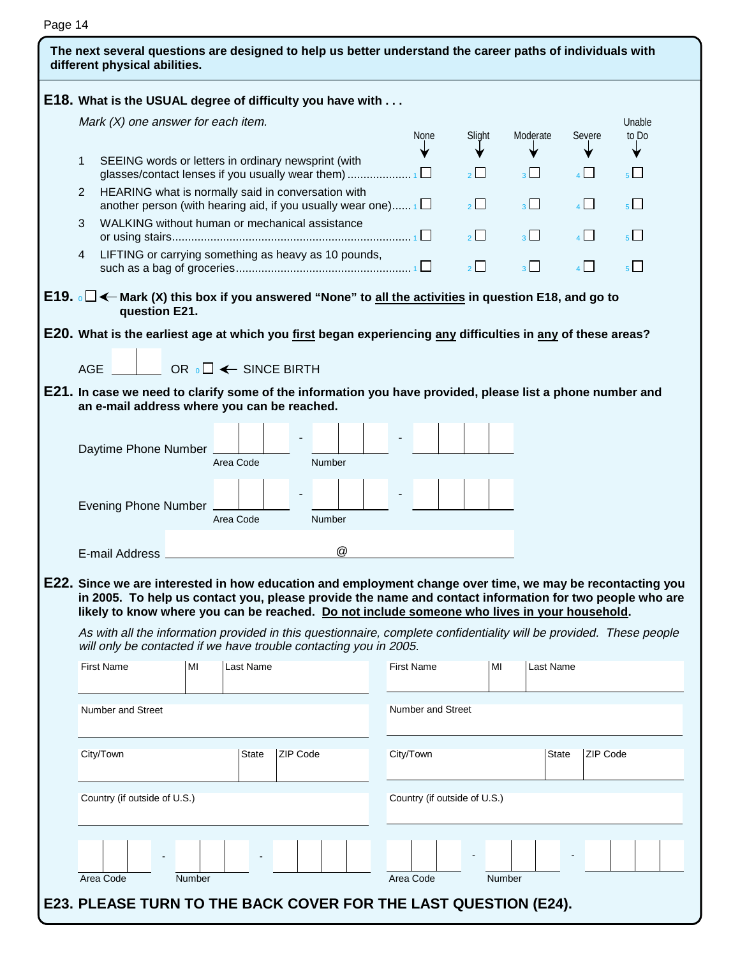| Page |  |  |
|------|--|--|
|------|--|--|

| E18. What is the USUAL degree of difficulty you have with                                                                                                                                                                                                                                                                                                                                           |                                    |                                        |                                                                                                                                                                                |               |        |                      |  |           |                   |                          |                              |                |                  |                |                 |
|-----------------------------------------------------------------------------------------------------------------------------------------------------------------------------------------------------------------------------------------------------------------------------------------------------------------------------------------------------------------------------------------------------|------------------------------------|----------------------------------------|--------------------------------------------------------------------------------------------------------------------------------------------------------------------------------|---------------|--------|----------------------|--|-----------|-------------------|--------------------------|------------------------------|----------------|------------------|----------------|-----------------|
|                                                                                                                                                                                                                                                                                                                                                                                                     | Mark (X) one answer for each item. |                                        |                                                                                                                                                                                |               |        |                      |  |           |                   |                          |                              | Moderate       |                  | Severe         | Unable<br>to Do |
|                                                                                                                                                                                                                                                                                                                                                                                                     |                                    |                                        |                                                                                                                                                                                |               |        |                      |  |           | <b>None</b>       |                          | Slight                       |                |                  |                |                 |
| 1                                                                                                                                                                                                                                                                                                                                                                                                   |                                    |                                        | SEEING words or letters in ordinary newsprint (with<br>HEARING what is normally said in conversation with<br>another person (with hearing aid, if you usually wear one) $\Box$ |               |        |                      |  |           |                   |                          | $\frac{1}{2}$                | 3 <sup>1</sup> |                  | $\overline{A}$ | 5 <sup>1</sup>  |
| 2                                                                                                                                                                                                                                                                                                                                                                                                   |                                    |                                        |                                                                                                                                                                                |               |        |                      |  |           |                   |                          | $2\mid$                      | 3 <sup>1</sup> |                  | $\overline{A}$ | $5\Box$         |
| 3                                                                                                                                                                                                                                                                                                                                                                                                   |                                    |                                        | WALKING without human or mechanical assistance                                                                                                                                 |               |        |                      |  |           |                   |                          | $\overline{2}$               | $3^{\square}$  |                  | $\mathbf{A}$   | $5\Box$         |
| LIFTING or carrying something as heavy as 10 pounds,<br>4                                                                                                                                                                                                                                                                                                                                           |                                    |                                        |                                                                                                                                                                                |               |        |                      |  |           |                   |                          | $2^{\square}$                | $\overline{3}$ |                  | $\overline{4}$ | 5 <sup>L</sup>  |
| E19. $\circ$ □ ← Mark (X) this box if you answered "None" to all the activities in question E18, and go to<br>question E21.                                                                                                                                                                                                                                                                         |                                    |                                        |                                                                                                                                                                                |               |        |                      |  |           |                   |                          |                              |                |                  |                |                 |
| E20. What is the earliest age at which you <u>first</u> began experiencing <u>any</u> difficulties in <u>any</u> of these areas?                                                                                                                                                                                                                                                                    |                                    |                                        |                                                                                                                                                                                |               |        |                      |  |           |                   |                          |                              |                |                  |                |                 |
|                                                                                                                                                                                                                                                                                                                                                                                                     |                                    |                                        |                                                                                                                                                                                |               |        |                      |  |           |                   |                          |                              |                |                  |                |                 |
| <b>AGE</b>                                                                                                                                                                                                                                                                                                                                                                                          |                                    | OR ${}_{0}\Box \leftarrow$ SINCE BIRTH |                                                                                                                                                                                |               |        |                      |  |           |                   |                          |                              |                |                  |                |                 |
| E21. In case we need to clarify some of the information you have provided, please list a phone number and                                                                                                                                                                                                                                                                                           |                                    |                                        |                                                                                                                                                                                |               |        |                      |  |           |                   |                          |                              |                |                  |                |                 |
| an e-mail address where you can be reached.                                                                                                                                                                                                                                                                                                                                                         |                                    |                                        |                                                                                                                                                                                |               |        |                      |  |           |                   |                          |                              |                |                  |                |                 |
|                                                                                                                                                                                                                                                                                                                                                                                                     |                                    |                                        |                                                                                                                                                                                |               |        |                      |  |           |                   |                          |                              |                |                  |                |                 |
| Daytime Phone Number                                                                                                                                                                                                                                                                                                                                                                                |                                    | Area Code                              |                                                                                                                                                                                |               | Number |                      |  |           |                   |                          |                              |                |                  |                |                 |
|                                                                                                                                                                                                                                                                                                                                                                                                     |                                    |                                        |                                                                                                                                                                                |               |        |                      |  |           |                   |                          |                              |                |                  |                |                 |
| <b>Evening Phone Number</b>                                                                                                                                                                                                                                                                                                                                                                         |                                    | Area Code                              |                                                                                                                                                                                | <b>Number</b> |        |                      |  |           |                   |                          |                              |                |                  |                |                 |
|                                                                                                                                                                                                                                                                                                                                                                                                     |                                    |                                        |                                                                                                                                                                                |               |        |                      |  |           |                   |                          |                              |                |                  |                |                 |
| E-mail Address                                                                                                                                                                                                                                                                                                                                                                                      |                                    |                                        |                                                                                                                                                                                |               |        | $^{\textregistered}$ |  |           |                   |                          |                              |                |                  |                |                 |
| E22. Since we are interested in how education and employment change over time, we may be recontacting you                                                                                                                                                                                                                                                                                           |                                    |                                        |                                                                                                                                                                                |               |        |                      |  |           |                   |                          |                              |                |                  |                |                 |
| in 2005. To help us contact you, please provide the name and contact information for two people who are<br>likely to know where you can be reached. Do not include someone who lives in your household.<br>As with all the information provided in this questionnaire, complete confidentiality will be provided. These people<br>will only be contacted if we have trouble contacting you in 2005. |                                    |                                        |                                                                                                                                                                                |               |        |                      |  |           |                   |                          |                              |                |                  |                |                 |
| <b>First Name</b>                                                                                                                                                                                                                                                                                                                                                                                   | MI                                 | Last Name                              |                                                                                                                                                                                |               |        |                      |  |           | <b>First Name</b> |                          | MI                           |                | <b>Last Name</b> |                |                 |
| Number and Street                                                                                                                                                                                                                                                                                                                                                                                   |                                    |                                        |                                                                                                                                                                                |               |        |                      |  |           |                   | <b>Number and Street</b> |                              |                |                  |                |                 |
| City/Town                                                                                                                                                                                                                                                                                                                                                                                           |                                    |                                        | <b>State</b>                                                                                                                                                                   | ZIP Code      |        |                      |  | City/Town |                   |                          |                              |                | <b>State</b>     | ZIP Code       |                 |
| Country (if outside of U.S.)                                                                                                                                                                                                                                                                                                                                                                        |                                    |                                        |                                                                                                                                                                                |               |        |                      |  |           |                   |                          | Country (if outside of U.S.) |                |                  |                |                 |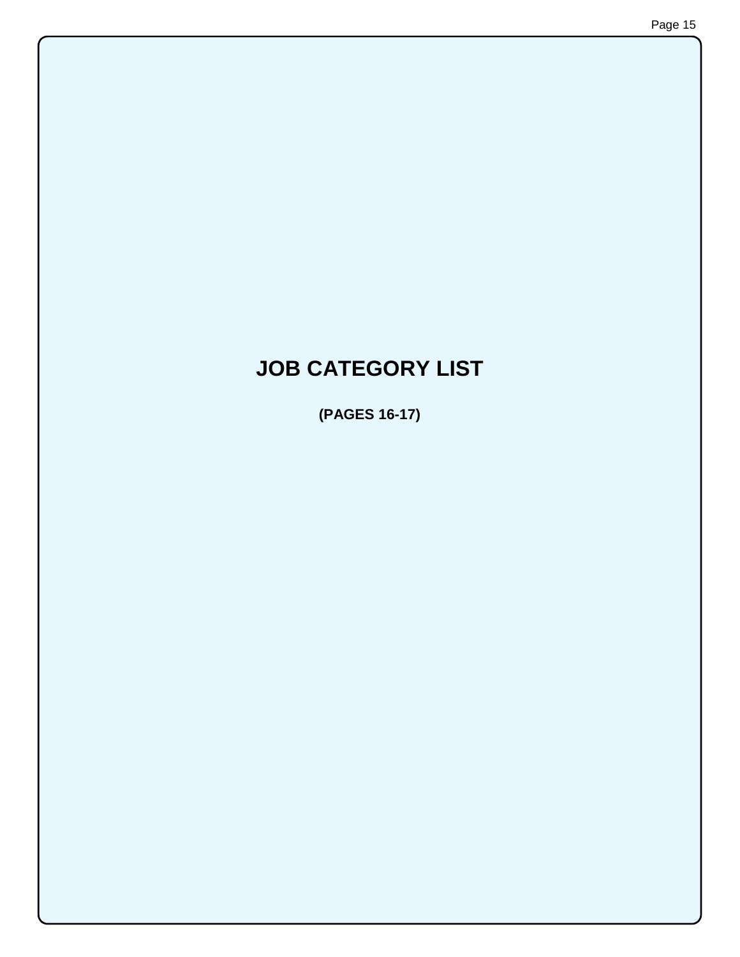# **JOB CATEGORY LIST**

**(PAGES 16-17)**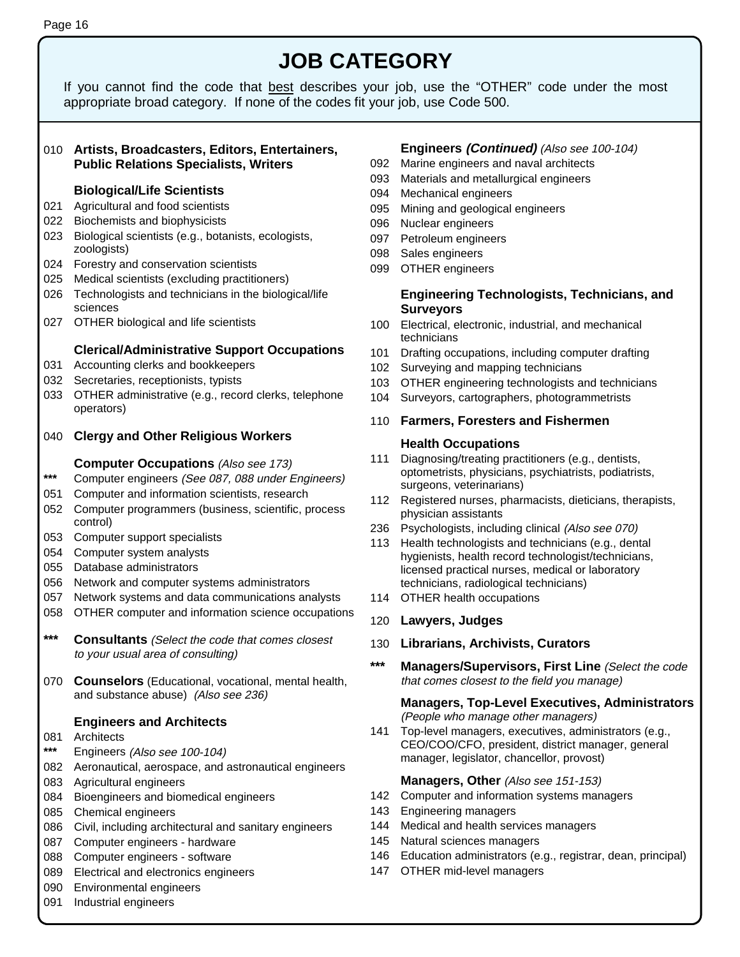## **JOB CATEGORY**

If you cannot find the code that best describes your job, use the "OTHER" code under the most appropriate broad category. If none of the codes fit your job, use Code 500.

#### 010 **Artists, Broadcasters, Editors, Entertainers, Public Relations Specialists, Writers**

#### **Biological/Life Scientists**

- 021 Agricultural and food scientists
- 022 Biochemists and biophysicists
- 023 Biological scientists (e.g., botanists, ecologists, zoologists)
- 024 Forestry and conservation scientists
- 025 Medical scientists (excluding practitioners)
- 026 Technologists and technicians in the biological/life sciences
- 027 OTHER biological and life scientists

#### **Clerical/Administrative Support Occupations**

- 031 Accounting clerks and bookkeepers
- 032 Secretaries, receptionists, typists
- 033 OTHER administrative (e.g., record clerks, telephone operators)
- 040 **Clergy and Other Religious Workers**

#### **Computer Occupations** (Also see 173)

- **\*\*\*** Computer engineers (See 087, 088 under Engineers)
- 051 Computer and information scientists, research
- 052 Computer programmers (business, scientific, process control)
- 053 Computer support specialists
- 054 Computer system analysts
- 055 Database administrators
- 056 Network and computer systems administrators
- 057 Network systems and data communications analysts
- 058 OTHER computer and information science occupations
- **\*\*\* Consultants** (Select the code that comes closest to your usual area of consulting)
- 070 **Counselors** (Educational, vocational, mental health, and substance abuse) (Also see 236)

#### **Engineers and Architects**

- 081 Architects
- **\*\*\*** Engineers (Also see 100-104)
- 082 Aeronautical, aerospace, and astronautical engineers
- 083 Agricultural engineers
- 084 Bioengineers and biomedical engineers
- 085 Chemical engineers
- 086 Civil, including architectural and sanitary engineers
- 087 Computer engineers hardware
- 088 Computer engineers software
- 089 Electrical and electronics engineers
- 090 Environmental engineers
- 091 Industrial engineers

#### **Engineers (Continued)** (Also see 100-104)

- 092 Marine engineers and naval architects
- 093 Materials and metallurgical engineers
- 094 Mechanical engineers
- 095 Mining and geological engineers
- 096 Nuclear engineers
- 097 Petroleum engineers
- 098 Sales engineers
- 099 OTHER engineers

#### **Engineering Technologists, Technicians, and Surveyors**

- 100 Electrical, electronic, industrial, and mechanical technicians
- 101 Drafting occupations, including computer drafting
- 102 Surveying and mapping technicians
- 103 OTHER engineering technologists and technicians
- 104 Surveyors, cartographers, photogrammetrists

#### 110 **Farmers, Foresters and Fishermen**

#### **Health Occupations**

- 111 Diagnosing/treating practitioners (e.g., dentists, optometrists, physicians, psychiatrists, podiatrists, surgeons, veterinarians)
- 112 Registered nurses, pharmacists, dieticians, therapists, physician assistants
- 236 Psychologists, including clinical (Also see 070)
- 113 Health technologists and technicians (e.g., dental hygienists, health record technologist/technicians, licensed practical nurses, medical or laboratory technicians, radiological technicians)
- 114 OTHER health occupations

#### 120 **Lawyers, Judges**

- 130 **Librarians, Archivists, Curators**
- **\*\*\* Managers/Supervisors, First Line** (Select the code that comes closest to the field you manage)

#### **Managers, Top-Level Executives, Administrators** (People who manage other managers)

141 Top-level managers, executives, administrators (e.g., CEO/COO/CFO, president, district manager, general manager, legislator, chancellor, provost)

#### **Managers, Other** (Also see 151-153)

- 142 Computer and information systems managers
- 143 Engineering managers
- 144 Medical and health services managers
- 145 Natural sciences managers
- 146 Education administrators (e.g., registrar, dean, principal)
- 147 OTHER mid-level managers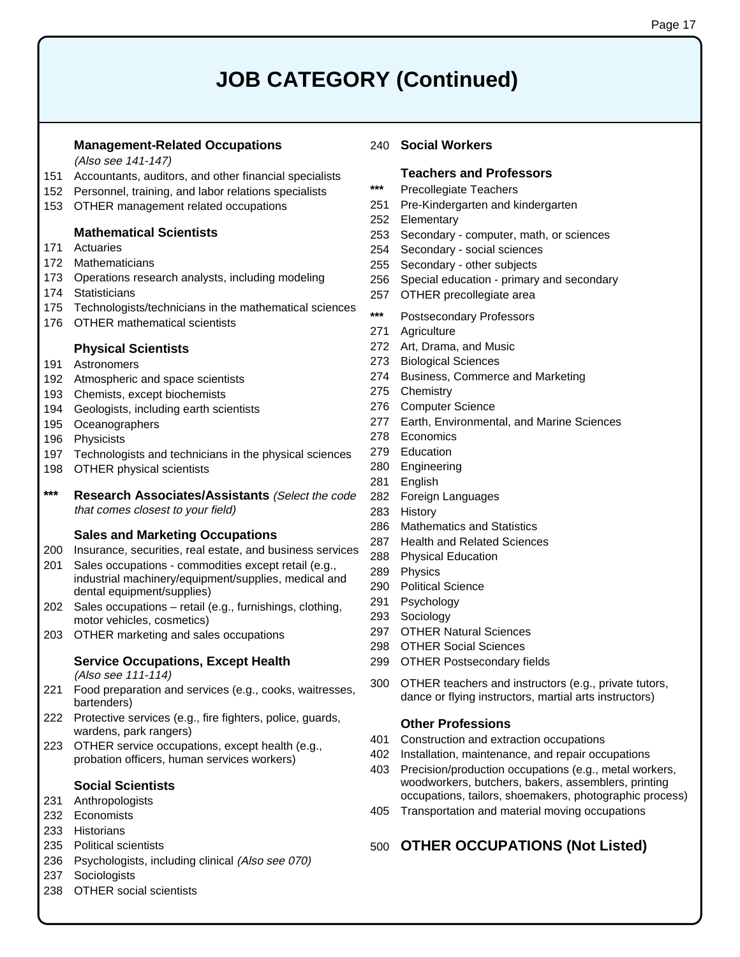# **JOB CATEGORY (Continued)**

#### **Management-Related Occupations**

(Also see 141-147)

- 151 Accountants, auditors, and other financial specialists
- 152 Personnel, training, and labor relations specialists
- 153 OTHER management related occupations

#### **Mathematical Scientists**

- 171 Actuaries
- 172 Mathematicians
- 173 Operations research analysts, including modeling
- 174 Statisticians
- 175 Technologists/technicians in the mathematical sciences
- 176 OTHER mathematical scientists

#### **Physical Scientists**

- 191 Astronomers
- 192 Atmospheric and space scientists
- 193 Chemists, except biochemists
- 194 Geologists, including earth scientists
- 195 Oceanographers
- 196 Physicists
- 197 Technologists and technicians in the physical sciences
- 198 OTHER physical scientists
- **\*\*\* Research Associates/Assistants** (Select the code that comes closest to your field)

#### **Sales and Marketing Occupations**

- 200 Insurance, securities, real estate, and business services
- 201 Sales occupations commodities except retail (e.g., industrial machinery/equipment/supplies, medical and dental equipment/supplies)
- 202 Sales occupations retail (e.g., furnishings, clothing, motor vehicles, cosmetics)
- 203 OTHER marketing and sales occupations

### **Service Occupations, Except Health**

(Also see 111-114)

- 221 Food preparation and services (e.g., cooks, waitresses, bartenders)
- 222 Protective services (e.g., fire fighters, police, guards, wardens, park rangers)
- 223 OTHER service occupations, except health (e.g., probation officers, human services workers)

### **Social Scientists**

- 231 Anthropologists
- 232 Economists
- 233 Historians
- 235 Political scientists
- 236 Psychologists, including clinical (Also see 070)
- 237 Sociologists
- 238 OTHER social scientists

#### 240 **Social Workers**

#### **Teachers and Professors**

- **\*\*\*** Precollegiate Teachers
- 251 Pre-Kindergarten and kindergarten
- 252 Elementary
- 253 Secondary computer, math, or sciences
- 254 Secondary social sciences
- 255 Secondary other subjects
- 256 Special education primary and secondary
- 257 OTHER precollegiate area
- **\*\*\*** Postsecondary Professors
- 271 Agriculture
- 272 Art, Drama, and Music
- 273 Biological Sciences
- 274 Business, Commerce and Marketing
- 275 Chemistry
- 276 Computer Science
- 277 Earth, Environmental, and Marine Sciences
- 278 Economics
- 279 Education
- 280 Engineering
- 281 English
- 282 Foreign Languages
- 283 History
- 286 Mathematics and Statistics
- 287 Health and Related Sciences
- 288 Physical Education
- 289 Physics
- 290 Political Science
- 291 Psychology
- 293 Sociology
- 297 OTHER Natural Sciences
- 298 OTHER Social Sciences
- 299 OTHER Postsecondary fields
- 300 OTHER teachers and instructors (e.g., private tutors, dance or flying instructors, martial arts instructors)

#### **Other Professions**

- 401 Construction and extraction occupations
- 402 Installation, maintenance, and repair occupations
- 403 Precision/production occupations (e.g., metal workers, woodworkers, butchers, bakers, assemblers, printing occupations, tailors, shoemakers, photographic process)
- 405 Transportation and material moving occupations

#### 500 **OTHER OCCUPATIONS (Not Listed)**